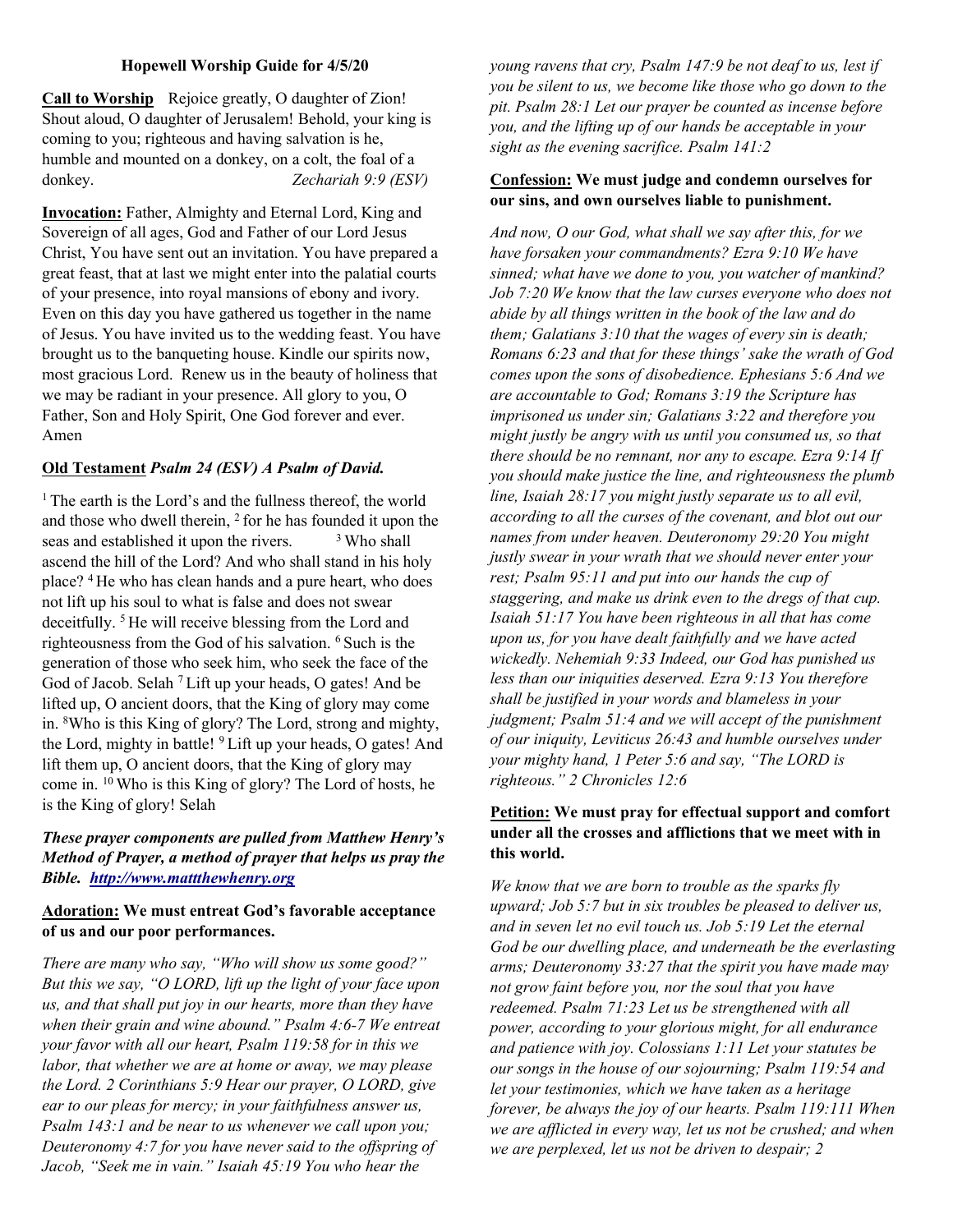### Hopewell Worship Guide for 4/5/20

Call to Worship Rejoice greatly, O daughter of Zion! Shout aloud, O daughter of Jerusalem! Behold, your king is coming to you; righteous and having salvation is he, humble and mounted on a donkey, on a colt, the foal of a donkey. Zechariah 9:9 (ESV)

Invocation: Father, Almighty and Eternal Lord, King and Sovereign of all ages, God and Father of our Lord Jesus Christ, You have sent out an invitation. You have prepared a great feast, that at last we might enter into the palatial courts of your presence, into royal mansions of ebony and ivory. Even on this day you have gathered us together in the name of Jesus. You have invited us to the wedding feast. You have brought us to the banqueting house. Kindle our spirits now, most gracious Lord. Renew us in the beauty of holiness that we may be radiant in your presence. All glory to you, O Father, Son and Holy Spirit, One God forever and ever. Amen

# Old Testament Psalm 24 (ESV) A Psalm of David.

<sup>1</sup> The earth is the Lord's and the fullness thereof, the world and those who dwell therein, <sup>2</sup> for he has founded it upon the seas and established it upon the rivers.  $\frac{3 \text{ W}}{2}$  Who shall ascend the hill of the Lord? And who shall stand in his holy place? <sup>4</sup>He who has clean hands and a pure heart, who does not lift up his soul to what is false and does not swear deceitfully. <sup>5</sup> He will receive blessing from the Lord and righteousness from the God of his salvation. <sup>6</sup> Such is the generation of those who seek him, who seek the face of the God of Jacob. Selah <sup>7</sup>Lift up your heads, O gates! And be lifted up, O ancient doors, that the King of glory may come in. <sup>8</sup>Who is this King of glory? The Lord, strong and mighty, the Lord, mighty in battle! <sup>9</sup>Lift up your heads, O gates! And lift them up, O ancient doors, that the King of glory may come in. <sup>10</sup>Who is this King of glory? The Lord of hosts, he is the King of glory! Selah

# These prayer components are pulled from Matthew Henry's Method of Prayer, a method of prayer that helps us pray the Bible. http://www.mattthewhenry.org

# Adoration: We must entreat God's favorable acceptance of us and our poor performances.

There are many who say, "Who will show us some good?" But this we say, "O LORD, lift up the light of your face upon us, and that shall put joy in our hearts, more than they have when their grain and wine abound." Psalm 4:6-7 We entreat your favor with all our heart, Psalm 119:58 for in this we labor, that whether we are at home or away, we may please the Lord. 2 Corinthians 5:9 Hear our prayer, O LORD, give ear to our pleas for mercy; in your faithfulness answer us, Psalm 143:1 and be near to us whenever we call upon you; Deuteronomy 4:7 for you have never said to the offspring of Jacob, "Seek me in vain." Isaiah 45:19 You who hear the

young ravens that cry, Psalm 147:9 be not deaf to us, lest if you be silent to us, we become like those who go down to the pit. Psalm 28:1 Let our prayer be counted as incense before you, and the lifting up of our hands be acceptable in your sight as the evening sacrifice. Psalm 141:2

### Confession: We must judge and condemn ourselves for our sins, and own ourselves liable to punishment.

And now, O our God, what shall we say after this, for we have forsaken your commandments? Ezra 9:10 We have sinned; what have we done to you, you watcher of mankind? Job 7:20 We know that the law curses everyone who does not abide by all things written in the book of the law and do them; Galatians 3:10 that the wages of every sin is death; Romans 6:23 and that for these things' sake the wrath of God comes upon the sons of disobedience. Ephesians 5:6 And we are accountable to God; Romans 3:19 the Scripture has imprisoned us under sin; Galatians 3:22 and therefore you might justly be angry with us until you consumed us, so that there should be no remnant, nor any to escape. Ezra 9:14 If you should make justice the line, and righteousness the plumb line, Isaiah 28:17 you might justly separate us to all evil, according to all the curses of the covenant, and blot out our names from under heaven. Deuteronomy 29:20 You might justly swear in your wrath that we should never enter your rest; Psalm 95:11 and put into our hands the cup of staggering, and make us drink even to the dregs of that cup. Isaiah 51:17 You have been righteous in all that has come upon us, for you have dealt faithfully and we have acted wickedly. Nehemiah 9:33 Indeed, our God has punished us less than our iniquities deserved. Ezra 9:13 You therefore shall be justified in your words and blameless in your judgment; Psalm 51:4 and we will accept of the punishment of our iniquity, Leviticus 26:43 and humble ourselves under your mighty hand, 1 Peter 5:6 and say, "The LORD is righteous." 2 Chronicles 12:6

# Petition: We must pray for effectual support and comfort under all the crosses and afflictions that we meet with in this world.

We know that we are born to trouble as the sparks fly upward; Job 5:7 but in six troubles be pleased to deliver us, and in seven let no evil touch us. Job 5:19 Let the eternal God be our dwelling place, and underneath be the everlasting arms; Deuteronomy 33:27 that the spirit you have made may not grow faint before you, nor the soul that you have redeemed. Psalm 71:23 Let us be strengthened with all power, according to your glorious might, for all endurance and patience with joy. Colossians 1:11 Let your statutes be our songs in the house of our sojourning; Psalm 119:54 and let your testimonies, which we have taken as a heritage forever, be always the joy of our hearts. Psalm 119:111 When we are afflicted in every way, let us not be crushed; and when we are perplexed, let us not be driven to despair; 2